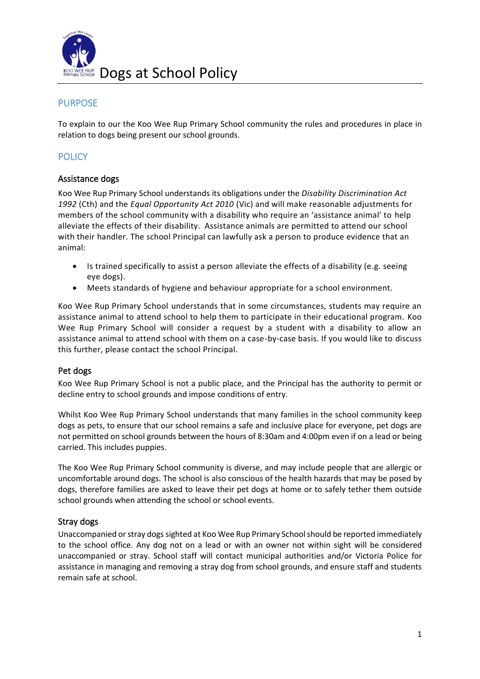

### **PURPOSE**

To explain to our the Koo Wee Rup Primary School community the rules and procedures in place in relation to dogs being present our school grounds.

## **POLICY**

### Assistance dogs

Koo Wee Rup Primary School understands its obligations under the *Disability Discrimination Act 1992* (Cth) and the *Equal Opportunity Act 2010* (Vic) and will make reasonable adjustments for members of the school community with a disability who require an 'assistance animal' to help alleviate the effects of their disability. Assistance animals are permitted to attend our school with their handler. The school Principal can lawfully ask a person to produce evidence that an animal:

- Is trained specifically to assist a person alleviate the effects of a disability (e.g. seeing eye dogs).
- Meets standards of hygiene and behaviour appropriate for a school environment.

Koo Wee Rup Primary School understands that in some circumstances, students may require an assistance animal to attend school to help them to participate in their educational program. Koo Wee Rup Primary School will consider a request by a student with a disability to allow an assistance animal to attend school with them on a case-by-case basis. If you would like to discuss this further, please contact the school Principal.

#### Pet dogs

Koo Wee Rup Primary School is not a public place, and the Principal has the authority to permit or decline entry to school grounds and impose conditions of entry.

Whilst Koo Wee Rup Primary School understands that many families in the school community keep dogs as pets, to ensure that our school remains a safe and inclusive place for everyone, pet dogs are not permitted on school grounds between the hours of 8:30am and 4:00pm even if on a lead or being carried. This includes puppies.

The Koo Wee Rup Primary School community is diverse, and may include people that are allergic or uncomfortable around dogs. The school is also conscious of the health hazards that may be posed by dogs, therefore families are asked to leave their pet dogs at home or to safely tether them outside school grounds when attending the school or school events.

### Stray dogs

Unaccompanied or stray dogs sighted at Koo Wee Rup Primary School should be reported immediately to the school office. Any dog not on a lead or with an owner not within sight will be considered unaccompanied or stray. School staff will contact municipal authorities and/or Victoria Police for assistance in managing and removing a stray dog from school grounds, and ensure staff and students remain safe at school.